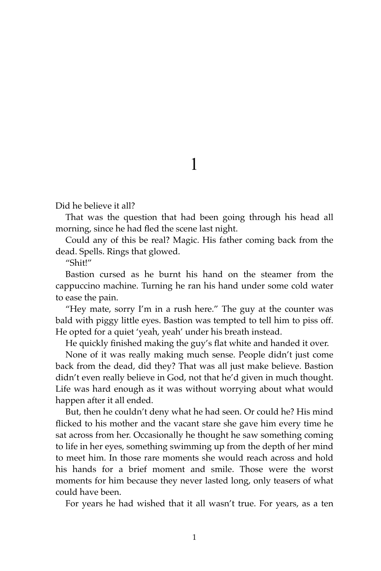## 1

Did he believe it all?

That was the question that had been going through his head all morning, since he had fled the scene last night.

Could any of this be real? Magic. His father coming back from the dead. Spells. Rings that glowed.

"Shit!"

Bastion cursed as he burnt his hand on the steamer from the cappuccino machine. Turning he ran his hand under some cold water to ease the pain.

"Hey mate, sorry I'm in a rush here." The guy at the counter was bald with piggy little eyes. Bastion was tempted to tell him to piss off. He opted for a quiet 'yeah, yeah' under his breath instead.

He quickly finished making the guy's flat white and handed it over.

None of it was really making much sense. People didn't just come back from the dead, did they? That was all just make believe. Bastion didn't even really believe in God, not that he'd given in much thought. Life was hard enough as it was without worrying about what would happen after it all ended.

But, then he couldn't deny what he had seen. Or could he? His mind flicked to his mother and the vacant stare she gave him every time he sat across from her. Occasionally he thought he saw something coming to life in her eyes, something swimming up from the depth of her mind to meet him. In those rare moments she would reach across and hold his hands for a brief moment and smile. Those were the worst moments for him because they never lasted long, only teasers of what could have been.

For years he had wished that it all wasn't true. For years, as a ten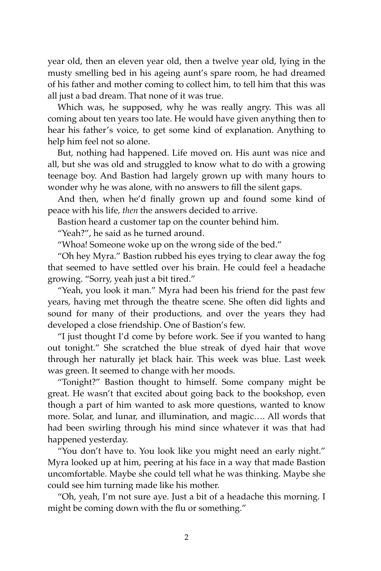year old, then an eleven year old, then a twelve year old, lying in the musty smelling bed in his ageing aunt's spare room, he had dreamed of his father and mother coming to collect him, to tell him that this was all just a bad dream. That none of it was true.

Which was, he supposed, why he was really angry. This was all coming about ten years too late. He would have given anything then to hear his father's voice, to get some kind of explanation. Anything to help him feel not so alone.

But, nothing had happened. Life moved on. His aunt was nice and all, but she was old and struggled to know what to do with a growing teenage boy. And Bastion had largely grown up with many hours to wonder why he was alone, with no answers to fill the silent gaps.

And then, when he'd finally grown up and found some kind of peace with his life, *then* the answers decided to arrive.

Bastion heard a customer tap on the counter behind him.

"Yeah?", he said as he turned around.

"Whoa! Someone woke up on the wrong side of the bed."

"Oh hey Myra." Bastion rubbed his eyes trying to clear away the fog that seemed to have settled over his brain. He could feel a headache growing. "Sorry, yeah just a bit tired."

"Yeah, you look it man." Myra had been his friend for the past few years, having met through the theatre scene. She often did lights and sound for many of their productions, and over the years they had developed a close friendship. One of Bastion's few.

"I just thought I'd come by before work. See if you wanted to hang out tonight." She scratched the blue streak of dyed hair that wove through her naturally jet black hair. This week was blue. Last week was green. It seemed to change with her moods.

"Tonight?" Bastion thought to himself. Some company might be great. He wasn't that excited about going back to the bookshop, even though a part of him wanted to ask more questions, wanted to know more. Solar, and lunar, and illumination, and magic…. All words that had been swirling through his mind since whatever it was that had happened yesterday.

"You don't have to. You look like you might need an early night." Myra looked up at him, peering at his face in a way that made Bastion uncomfortable. Maybe she could tell what he was thinking. Maybe she could see him turning made like his mother.

"Oh, yeah, I'm not sure aye. Just a bit of a headache this morning. I might be coming down with the flu or something."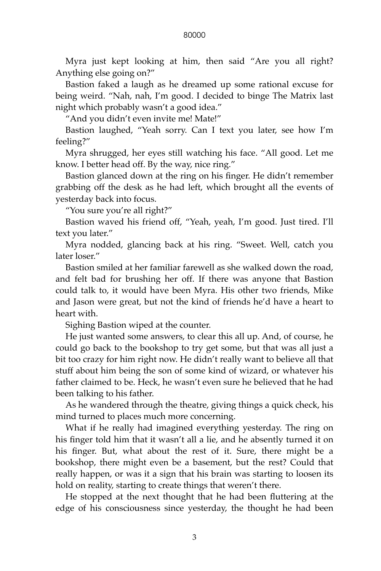## 80000

Myra just kept looking at him, then said "Are you all right? Anything else going on?"

Bastion faked a laugh as he dreamed up some rational excuse for being weird. "Nah, nah, I'm good. I decided to binge The Matrix last night which probably wasn't a good idea."

"And you didn't even invite me! Mate!"

Bastion laughed, "Yeah sorry. Can I text you later, see how I'm feeling?"

Myra shrugged, her eyes still watching his face. "All good. Let me know. I better head off. By the way, nice ring."

Bastion glanced down at the ring on his finger. He didn't remember grabbing off the desk as he had left, which brought all the events of yesterday back into focus.

"You sure you're all right?"

Bastion waved his friend off, "Yeah, yeah, I'm good. Just tired. I'll text you later."

Myra nodded, glancing back at his ring. "Sweet. Well, catch you later loser."

Bastion smiled at her familiar farewell as she walked down the road, and felt bad for brushing her off. If there was anyone that Bastion could talk to, it would have been Myra. His other two friends, Mike and Jason were great, but not the kind of friends he'd have a heart to heart with.

Sighing Bastion wiped at the counter.

He just wanted some answers, to clear this all up. And, of course, he could go back to the bookshop to try get some, but that was all just a bit too crazy for him right now. He didn't really want to believe all that stuff about him being the son of some kind of wizard, or whatever his father claimed to be. Heck, he wasn't even sure he believed that he had been talking to his father.

As he wandered through the theatre, giving things a quick check, his mind turned to places much more concerning.

What if he really had imagined everything yesterday. The ring on his finger told him that it wasn't all a lie, and he absently turned it on his finger. But, what about the rest of it. Sure, there might be a bookshop, there might even be a basement, but the rest? Could that really happen, or was it a sign that his brain was starting to loosen its hold on reality, starting to create things that weren't there.

He stopped at the next thought that he had been fluttering at the edge of his consciousness since yesterday, the thought he had been